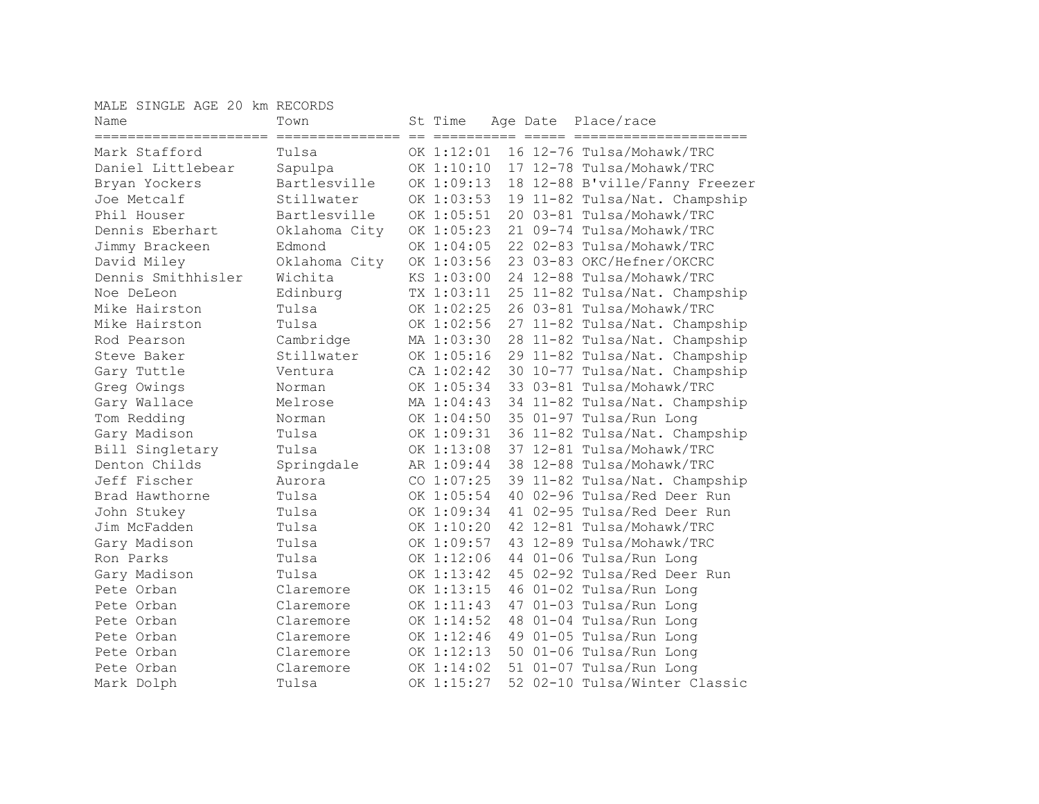MALE SINGLE AGE 20 km RECORDS

| Name                                    | Town          | St Time    |     | Age Date | Place/race                     |
|-----------------------------------------|---------------|------------|-----|----------|--------------------------------|
| ======================<br>Mark Stafford | Tulsa         | OK 1:12:01 |     |          | 16 12-76 Tulsa/Mohawk/TRC      |
| Daniel Littlebear                       | Sapulpa       | OK 1:10:10 |     |          | 17 12-78 Tulsa/Mohawk/TRC      |
| Bryan Yockers                           | Bartlesville  | OK 1:09:13 |     |          | 18 12-88 B'ville/Fanny Freezer |
| Joe Metcalf                             | Stillwater    | OK 1:03:53 |     |          | 19 11-82 Tulsa/Nat. Champship  |
| Phil Houser                             | Bartlesville  | OK 1:05:51 |     |          | 20 03-81 Tulsa/Mohawk/TRC      |
| Dennis Eberhart                         | Oklahoma City | OK 1:05:23 |     |          | 21 09-74 Tulsa/Mohawk/TRC      |
| Jimmy Brackeen                          | Edmond        | OK 1:04:05 |     |          | 22 02-83 Tulsa/Mohawk/TRC      |
| David Miley                             | Oklahoma City | OK 1:03:56 |     |          | 23 03-83 OKC/Hefner/OKCRC      |
| Dennis Smithhisler                      | Wichita       | KS 1:03:00 |     |          | 24 12-88 Tulsa/Mohawk/TRC      |
| Noe DeLeon                              | Edinburg      | TX 1:03:11 |     |          | 25 11-82 Tulsa/Nat. Champship  |
| Mike Hairston                           | Tulsa         | OK 1:02:25 |     |          | 26 03-81 Tulsa/Mohawk/TRC      |
| Mike Hairston                           | Tulsa         | OK 1:02:56 |     |          | 27 11-82 Tulsa/Nat. Champship  |
| Rod Pearson                             | Cambridge     | MA 1:03:30 |     |          | 28 11-82 Tulsa/Nat. Champship  |
| Steve Baker                             | Stillwater    | OK 1:05:16 |     |          | 29 11-82 Tulsa/Nat. Champship  |
| Gary Tuttle                             | Ventura       | CA 1:02:42 |     |          | 30 10-77 Tulsa/Nat. Champship  |
| Greg Owings                             | Norman        | OK 1:05:34 |     |          | 33 03-81 Tulsa/Mohawk/TRC      |
| Gary Wallace                            | Melrose       | MA 1:04:43 |     |          | 34 11-82 Tulsa/Nat. Champship  |
| Tom Redding                             | Norman        | OK 1:04:50 | 35  |          | 01-97 Tulsa/Run Long           |
| Gary Madison                            | Tulsa         | OK 1:09:31 |     |          | 36 11-82 Tulsa/Nat. Champship  |
| Bill Singletary                         | Tulsa         | OK 1:13:08 |     |          | 37 12-81 Tulsa/Mohawk/TRC      |
| Denton Childs                           | Springdale    | AR 1:09:44 |     |          | 38 12-88 Tulsa/Mohawk/TRC      |
| Jeff Fischer                            | Aurora        | CO 1:07:25 |     |          | 39 11-82 Tulsa/Nat. Champship  |
| Brad Hawthorne                          | Tulsa         | OK 1:05:54 | 4 O |          | 02-96 Tulsa/Red Deer Run       |
| John Stukey                             | Tulsa         | OK 1:09:34 | 41  |          | 02-95 Tulsa/Red Deer Run       |
| Jim McFadden                            | Tulsa         | OK 1:10:20 |     |          | 42 12-81 Tulsa/Mohawk/TRC      |
| Gary Madison                            | Tulsa         | OK 1:09:57 |     |          | 43 12-89 Tulsa/Mohawk/TRC      |
| Ron Parks                               | Tulsa         | OK 1:12:06 |     |          | 44 01-06 Tulsa/Run Long        |
| Gary Madison                            | Tulsa         | OK 1:13:42 | 45  |          | 02-92 Tulsa/Red Deer Run       |
| Pete Orban                              | Claremore     | OK 1:13:15 |     |          | 46 01-02 Tulsa/Run Long        |
| Pete Orban                              | Claremore     | OK 1:11:43 | 47  |          | 01-03 Tulsa/Run Long           |
| Pete Orban                              | Claremore     | OK 1:14:52 | 48  |          | 01-04 Tulsa/Run Long           |
| Pete Orban                              | Claremore     | OK 1:12:46 | 49  |          | 01-05 Tulsa/Run Long           |
| Pete Orban                              | Claremore     | OK 1:12:13 |     |          | 50 01-06 Tulsa/Run Long        |
| Pete Orban                              | Claremore     | OK 1:14:02 |     |          | 51 01-07 Tulsa/Run Long        |
| Mark Dolph                              | Tulsa         | OK 1:15:27 |     |          | 52 02-10 Tulsa/Winter Classic  |